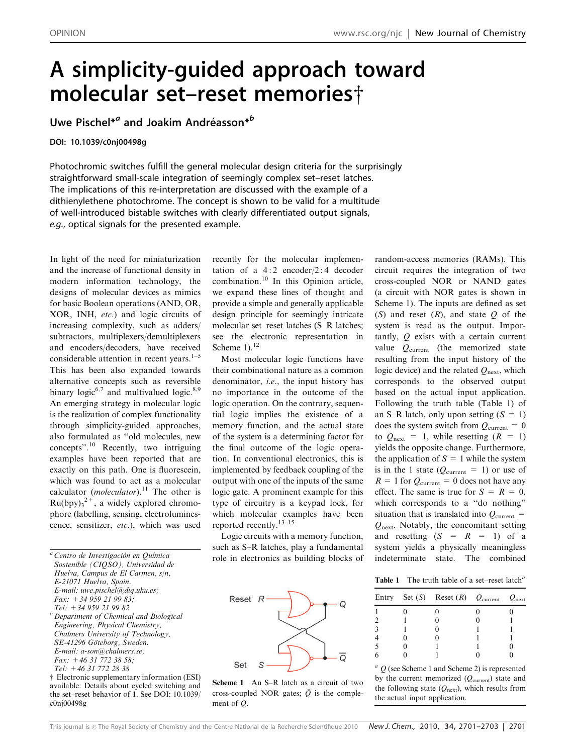## A simplicity-guided approach toward molecular set–reset memories $\dagger$

Uwe Pischel\*<sup>*a*</sup> and Joakim Andréasson\*<sup>b</sup>

## DOI: 10.1039/c0nj00498g

Photochromic switches fulfill the general molecular design criteria for the surprisingly straightforward small-scale integration of seemingly complex set–reset latches. The implications of this re-interpretation are discussed with the example of a dithienylethene photochrome. The concept is shown to be valid for a multitude of well-introduced bistable switches with clearly differentiated output signals, e.g., optical signals for the presented example.

In light of the need for miniaturization and the increase of functional density in modern information technology, the designs of molecular devices as mimics for basic Boolean operations (AND, OR, XOR, INH, etc.) and logic circuits of increasing complexity, such as adders/ subtractors, multiplexers/demultiplexers and encoders/decoders, have received considerable attention in recent years. $1-5$ This has been also expanded towards alternative concepts such as reversible binary logic<sup>6,7</sup> and multivalued logic.<sup>8,9</sup> An emerging strategy in molecular logic is the realization of complex functionality through simplicity-guided approaches, also formulated as ''old molecules, new concepts''.<sup>10</sup> Recently, two intriguing examples have been reported that are exactly on this path. One is fluorescein, which was found to act as a molecular calculator (*moleculator*).<sup>11</sup> The other is  $Ru(bpy)<sub>3</sub><sup>2+</sup>$ , a widely explored chromophore (labelling, sensing, electroluminescence, sensitizer, etc.), which was used

 $\dagger$  Electronic supplementary information (ESI) available: Details about cycled switching and the set–reset behavior of 1. See DOI: 10.1039/ c0nj00498g

recently for the molecular implementation of a  $4:2$  encoder/2:4 decoder combination.<sup>10</sup> In this Opinion article, we expand these lines of thought and provide a simple and generally applicable design principle for seemingly intricate molecular set–reset latches (S–R latches; see the electronic representation in Scheme  $1$ ).<sup>12</sup>

Most molecular logic functions have their combinational nature as a common denominator, i.e., the input history has no importance in the outcome of the logic operation. On the contrary, sequential logic implies the existence of a memory function, and the actual state of the system is a determining factor for the final outcome of the logic operation. In conventional electronics, this is implemented by feedback coupling of the output with one of the inputs of the same logic gate. A prominent example for this type of circuitry is a keypad lock, for which molecular examples have been reported recently.13–15

Logic circuits with a memory function, such as S–R latches, play a fundamental role in electronics as building blocks of



Scheme 1 An S-R latch as a circuit of two cross-coupled NOR gates;  $\overline{Q}$  is the complement of Q.

random-access memories (RAMs). This circuit requires the integration of two cross-coupled NOR or NAND gates (a circuit with NOR gates is shown in Scheme 1). The inputs are defined as set (S) and reset  $(R)$ , and state  $Q$  of the system is read as the output. Importantly, Q exists with a certain current value  $Q_{\text{current}}$  (the memorized state resulting from the input history of the logic device) and the related  $Q_{\text{next}}$ , which corresponds to the observed output based on the actual input application. Following the truth table (Table 1) of an S–R latch, only upon setting  $(S = 1)$ does the system switch from  $Q_{\text{current}} = 0$ to  $Q_{\text{next}} = 1$ , while resetting  $(R = 1)$ yields the opposite change. Furthermore, the application of  $S = 1$  while the system is in the 1 state ( $Q_{\text{current}} = 1$ ) or use of  $R = 1$  for  $Q_{\text{current}} = 0$  does not have any effect. The same is true for  $S = R = 0$ , which corresponds to a ''do nothing'' situation that is translated into  $Q_{\text{current}} =$ Qnext. Notably, the concomitant setting and resetting  $(S = R = 1)$  of a system yields a physically meaningless indeterminate state. The combined

Table 1 The truth table of a set-reset latch<sup>a</sup>

|  | Entry Set $(S)$ Reset $(R)$ $Q_{\text{current}}$ $Q_{\text{next}}$ |  |
|--|--------------------------------------------------------------------|--|
|  |                                                                    |  |
|  |                                                                    |  |
|  |                                                                    |  |
|  |                                                                    |  |
|  |                                                                    |  |
|  |                                                                    |  |

 $a$  Q (see Scheme 1 and Scheme 2) is represented by the current memorized  $(Q_{\text{current}})$  state and the following state  $(Q_{\text{next}})$ , which results from the actual input application.

 $a^a$  Centro de Investigación en Química Sostenible (CIQSO), Universidad de Huelva, Campus de El Carmen, s/n, E-21071 Huelva, Spain.  $E$ -mail: uwe.pischel@diq.uhu.es; Fax:  $+34959219983;$ Tel: +34 959 21 99 82  $b$  Department of Chemical and Biological Engineering, Physical Chemistry,

Chalmers University of Technology, SE-41296 Göteborg, Sweden. E-mail: a-son@chalmers.se; Fax: +46 31 772 38 58;

Tel: +46 31 772 28 38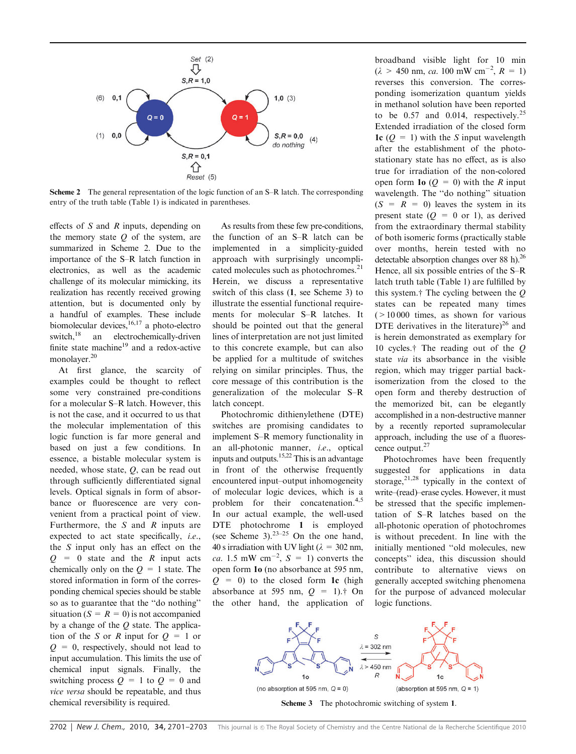

Scheme 2 The general representation of the logic function of an S–R latch. The corresponding entry of the truth table (Table 1) is indicated in parentheses.

effects of  $S$  and  $R$  inputs, depending on the memory state  $Q$  of the system, are summarized in Scheme 2. Due to the importance of the S–R latch function in electronics, as well as the academic challenge of its molecular mimicking, its realization has recently received growing attention, but is documented only by a handful of examples. These include biomolecular devices,  $16,17$  a photo-electro<br>switch,  $18$  an electrochemically-driven an electrochemically-driven finite state machine $19$  and a redox-active monolayer.20

At first glance, the scarcity of examples could be thought to reflect some very constrained pre-conditions for a molecular S–R latch. However, this is not the case, and it occurred to us that the molecular implementation of this logic function is far more general and based on just a few conditions. In essence, a bistable molecular system is needed, whose state, Q, can be read out through sufficiently differentiated signal levels. Optical signals in form of absorbance or fluorescence are very convenient from a practical point of view. Furthermore, the  $S$  and  $R$  inputs are expected to act state specifically, i.e., the S input only has an effect on the  $Q = 0$  state and the R input acts chemically only on the  $Q = 1$  state. The stored information in form of the corresponding chemical species should be stable so as to guarantee that the ''do nothing'' situation ( $S = R = 0$ ) is not accompanied by a change of the  $Q$  state. The application of the S or R input for  $Q = 1$  or  $Q = 0$ , respectively, should not lead to input accumulation. This limits the use of chemical input signals. Finally, the switching process  $Q = 1$  to  $Q = 0$  and vice versa should be repeatable, and thus chemical reversibility is required.

As results from these few pre-conditions, the function of an S–R latch can be implemented in a simplicity-guided approach with surprisingly uncomplicated molecules such as photochromes.<sup>21</sup> Herein, we discuss a representative switch of this class (1, see Scheme 3) to illustrate the essential functional requirements for molecular S–R latches. It should be pointed out that the general lines of interpretation are not just limited to this concrete example, but can also be applied for a multitude of switches relying on similar principles. Thus, the core message of this contribution is the generalization of the molecular S–R latch concept.

Photochromic dithienylethene (DTE) switches are promising candidates to implement S–R memory functionality in an all-photonic manner, i.e., optical inputs and outputs.15,22 This is an advantage in front of the otherwise frequently encountered input–output inhomogeneity of molecular logic devices, which is a problem for their concatenation.4,5 In our actual example, the well-used DTE photochrome 1 is employed (see Scheme 3). $23-25$  On the one hand, 40 s irradiation with UV light ( $\lambda = 302$  nm, *ca.* 1.5 mW cm<sup>-2</sup>,  $S = 1$ ) converts the open form 1o (no absorbance at 595 nm,  $Q = 0$ ) to the closed form 1c (high absorbance at 595 nm,  $Q = 1$ .<sup>\*</sup> On the other hand, the application of

broadband visible light for 10 min  $(\lambda > 450 \text{ nm}, \text{ca. } 100 \text{ mW cm}^{-2}, R = 1)$ reverses this conversion. The corresponding isomerization quantum yields in methanol solution have been reported to be 0.57 and 0.014, respectively.<sup>25</sup> Extended irradiation of the closed form 1c  $(Q = 1)$  with the S input wavelength after the establishment of the photostationary state has no effect, as is also true for irradiation of the non-colored open form 1o  $(Q = 0)$  with the R input wavelength. The ''do nothing'' situation  $(S = R = 0)$  leaves the system in its present state  $(Q = 0 \text{ or } 1)$ , as derived from the extraordinary thermal stability of both isomeric forms (practically stable over months, herein tested with no detectable absorption changes over 88 h).<sup>26</sup> Hence, all six possible entries of the S–R latch truth table (Table 1) are fulfilled by this system.<sup>†</sup> The cycling between the  $O$ states can be repeated many times  $(>10000$  times, as shown for various DTE derivatives in the literature)<sup>26</sup> and is herein demonstrated as exemplary for 10 cycles. $\dagger$  The reading out of the Q state via its absorbance in the visible region, which may trigger partial backisomerization from the closed to the open form and thereby destruction of the memorized bit, can be elegantly accomplished in a non-destructive manner by a recently reported supramolecular approach, including the use of a fluorescence output.<sup>27</sup>

Photochromes have been frequently suggested for applications in data storage, $2^{1,28}$  typically in the context of write–(read)–erase cycles. However, it must be stressed that the specific implementation of S–R latches based on the all-photonic operation of photochromes is without precedent. In line with the initially mentioned ''old molecules, new concepts'' idea, this discussion should contribute to alternative views on generally accepted switching phenomena for the purpose of advanced molecular logic functions.



Scheme 3 The photochromic switching of system 1.